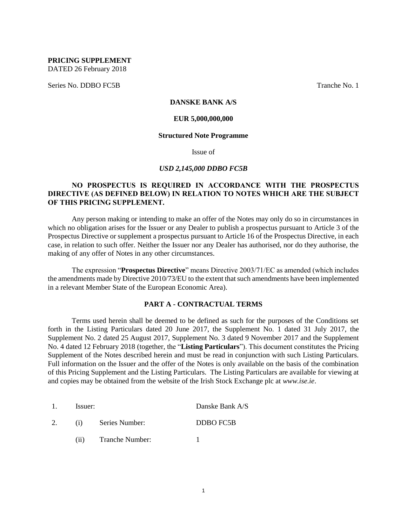**PRICING SUPPLEMENT** DATED 26 February 2018

Series No. DDBO FC5B Tranche No. 1

## **DANSKE BANK A/S**

## **EUR 5,000,000,000**

#### **Structured Note Programme**

Issue of

#### *USD 2,145,000 DDBO FC5B*

## **NO PROSPECTUS IS REQUIRED IN ACCORDANCE WITH THE PROSPECTUS DIRECTIVE (AS DEFINED BELOW) IN RELATION TO NOTES WHICH ARE THE SUBJECT OF THIS PRICING SUPPLEMENT.**

Any person making or intending to make an offer of the Notes may only do so in circumstances in which no obligation arises for the Issuer or any Dealer to publish a prospectus pursuant to Article 3 of the Prospectus Directive or supplement a prospectus pursuant to Article 16 of the Prospectus Directive, in each case, in relation to such offer. Neither the Issuer nor any Dealer has authorised, nor do they authorise, the making of any offer of Notes in any other circumstances.

The expression "**Prospectus Directive**" means Directive 2003/71/EC as amended (which includes the amendments made by Directive 2010/73/EU to the extent that such amendments have been implemented in a relevant Member State of the European Economic Area).

## **PART A - CONTRACTUAL TERMS**

Terms used herein shall be deemed to be defined as such for the purposes of the Conditions set forth in the Listing Particulars dated 20 June 2017, the Supplement No. 1 dated 31 July 2017, the Supplement No. 2 dated 25 August 2017, Supplement No. 3 dated 9 November 2017 and the Supplement No. 4 dated 12 February 2018 (together, the "**Listing Particulars**"). This document constitutes the Pricing Supplement of the Notes described herein and must be read in conjunction with such Listing Particulars. Full information on the Issuer and the offer of the Notes is only available on the basis of the combination of this Pricing Supplement and the Listing Particulars. The Listing Particulars are available for viewing at and copies may be obtained from the website of the Irish Stock Exchange plc at *www.ise.ie*.

| $\mathbf{1}$ . | Issuer: |                 | Danske Bank A/S |  |  |
|----------------|---------|-----------------|-----------------|--|--|
|                | (i)     | Series Number:  | DDBO FC5B       |  |  |
|                | (11)    | Tranche Number: |                 |  |  |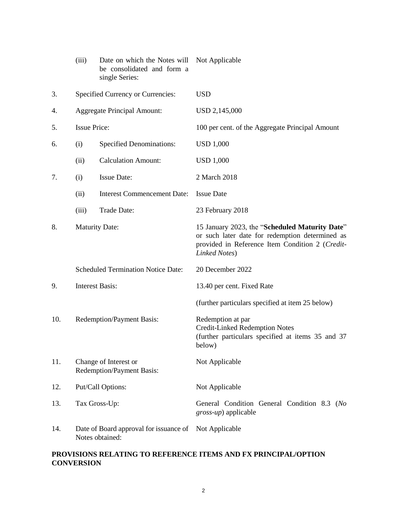|     | (iii)                                                     | Date on which the Notes will<br>be consolidated and form a<br>single Series: | Not Applicable                                                                                                                                                        |  |  |  |
|-----|-----------------------------------------------------------|------------------------------------------------------------------------------|-----------------------------------------------------------------------------------------------------------------------------------------------------------------------|--|--|--|
| 3.  |                                                           | Specified Currency or Currencies:                                            | <b>USD</b>                                                                                                                                                            |  |  |  |
| 4.  |                                                           | <b>Aggregate Principal Amount:</b>                                           | USD 2,145,000                                                                                                                                                         |  |  |  |
| 5.  | <b>Issue Price:</b>                                       |                                                                              | 100 per cent. of the Aggregate Principal Amount                                                                                                                       |  |  |  |
| 6.  | (i)                                                       | <b>Specified Denominations:</b>                                              | <b>USD 1,000</b>                                                                                                                                                      |  |  |  |
|     | (ii)                                                      | <b>Calculation Amount:</b>                                                   | <b>USD 1,000</b>                                                                                                                                                      |  |  |  |
| 7.  | (i)                                                       | <b>Issue Date:</b>                                                           | 2 March 2018                                                                                                                                                          |  |  |  |
|     | (ii)                                                      | <b>Interest Commencement Date:</b>                                           | <b>Issue Date</b>                                                                                                                                                     |  |  |  |
|     | (iii)                                                     | Trade Date:                                                                  | 23 February 2018                                                                                                                                                      |  |  |  |
| 8.  | <b>Maturity Date:</b>                                     |                                                                              | 15 January 2023, the "Scheduled Maturity Date"<br>or such later date for redemption determined as<br>provided in Reference Item Condition 2 (Credit-<br>Linked Notes) |  |  |  |
|     |                                                           | <b>Scheduled Termination Notice Date:</b>                                    | 20 December 2022                                                                                                                                                      |  |  |  |
| 9.  | <b>Interest Basis:</b>                                    |                                                                              | 13.40 per cent. Fixed Rate                                                                                                                                            |  |  |  |
|     |                                                           |                                                                              | (further particulars specified at item 25 below)                                                                                                                      |  |  |  |
| 10. | Redemption/Payment Basis:                                 |                                                                              | Redemption at par<br><b>Credit-Linked Redemption Notes</b><br>(further particulars specified at items 35 and 37<br>below)                                             |  |  |  |
| 11. |                                                           | Change of Interest or<br>Redemption/Payment Basis:                           | Not Applicable                                                                                                                                                        |  |  |  |
| 12. |                                                           | Put/Call Options:                                                            | Not Applicable                                                                                                                                                        |  |  |  |
| 13. | Tax Gross-Up:                                             |                                                                              | General Condition General Condition 8.3 (No<br><i>gross-up</i> ) applicable                                                                                           |  |  |  |
| 14. | Date of Board approval for issuance of<br>Notes obtained: |                                                                              | Not Applicable                                                                                                                                                        |  |  |  |

## **PROVISIONS RELATING TO REFERENCE ITEMS AND FX PRINCIPAL/OPTION CONVERSION**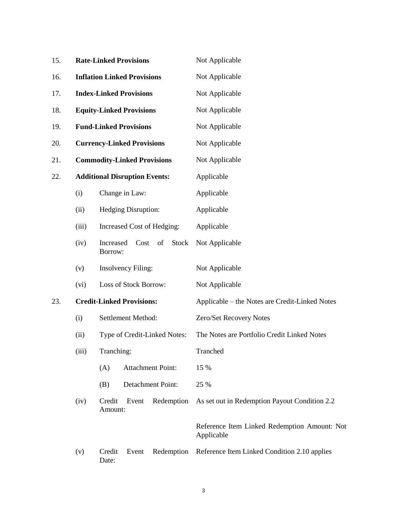| 15. | <b>Rate-Linked Provisions</b>      |                                                    |                                      |                          | Not Applicable                                             |  |  |  |
|-----|------------------------------------|----------------------------------------------------|--------------------------------------|--------------------------|------------------------------------------------------------|--|--|--|
| 16. | <b>Inflation Linked Provisions</b> |                                                    |                                      |                          | Not Applicable                                             |  |  |  |
| 17. |                                    |                                                    | <b>Index-Linked Provisions</b>       |                          | Not Applicable                                             |  |  |  |
| 18. |                                    |                                                    | <b>Equity-Linked Provisions</b>      |                          | Not Applicable                                             |  |  |  |
| 19. |                                    |                                                    | <b>Fund-Linked Provisions</b>        |                          | Not Applicable                                             |  |  |  |
| 20. |                                    |                                                    | <b>Currency-Linked Provisions</b>    |                          | Not Applicable                                             |  |  |  |
| 21. |                                    |                                                    | <b>Commodity-Linked Provisions</b>   |                          | Not Applicable                                             |  |  |  |
| 22. |                                    |                                                    | <b>Additional Disruption Events:</b> |                          | Applicable                                                 |  |  |  |
|     | (i)                                |                                                    | Change in Law:                       |                          | Applicable                                                 |  |  |  |
|     | (ii)                               | Hedging Disruption:                                |                                      |                          | Applicable                                                 |  |  |  |
|     | (iii)                              | Increased Cost of Hedging:                         |                                      |                          | Applicable                                                 |  |  |  |
|     | (iv)                               | <b>Stock</b><br>Increased<br>Cost<br>of<br>Borrow: |                                      |                          | Not Applicable                                             |  |  |  |
|     | (v)                                | <b>Insolvency Filing:</b>                          |                                      |                          | Not Applicable                                             |  |  |  |
|     | Loss of Stock Borrow:<br>(vi)      |                                                    |                                      | Not Applicable           |                                                            |  |  |  |
| 23. | <b>Credit-Linked Provisions:</b>   |                                                    |                                      |                          | Applicable – the Notes are Credit-Linked Notes             |  |  |  |
|     | (i)                                | Settlement Method:                                 |                                      |                          | Zero/Set Recovery Notes                                    |  |  |  |
|     | (ii)                               | Type of Credit-Linked Notes:                       |                                      |                          | The Notes are Portfolio Credit Linked Notes                |  |  |  |
|     | (iii)                              | Tranching:                                         |                                      |                          | Tranched                                                   |  |  |  |
|     |                                    | (A)                                                |                                      | <b>Attachment Point:</b> | 15 %                                                       |  |  |  |
|     |                                    | (B)                                                |                                      | Detachment Point:        | 25 %                                                       |  |  |  |
|     | (iv)                               | Credit<br>Amount:                                  | Event                                | Redemption               | As set out in Redemption Payout Condition 2.2              |  |  |  |
|     |                                    |                                                    |                                      |                          | Reference Item Linked Redemption Amount: Not<br>Applicable |  |  |  |
|     | (v)                                | Credit<br>Date:                                    | Event                                | Redemption               | Reference Item Linked Condition 2.10 applies               |  |  |  |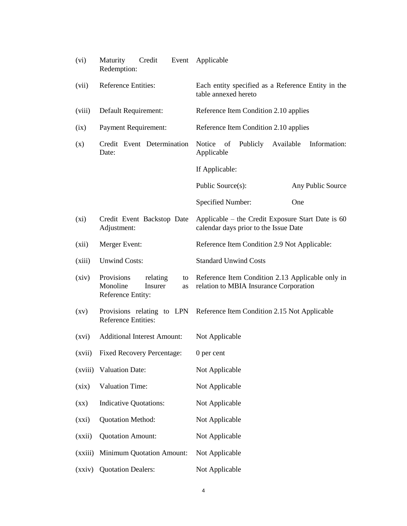| (vi)                     | Maturity<br>Credit<br>Event<br>Redemption:                                     | Applicable                                                                                 |  |  |  |  |
|--------------------------|--------------------------------------------------------------------------------|--------------------------------------------------------------------------------------------|--|--|--|--|
| (vii)                    | Reference Entities:                                                            | Each entity specified as a Reference Entity in the<br>table annexed hereto                 |  |  |  |  |
| (viii)                   | Default Requirement:                                                           | Reference Item Condition 2.10 applies                                                      |  |  |  |  |
| (ix)                     | <b>Payment Requirement:</b>                                                    | Reference Item Condition 2.10 applies                                                      |  |  |  |  |
| (x)                      | Credit Event Determination<br>Date:                                            | Notice<br>of<br>Publicly<br>Available<br>Information:<br>Applicable                        |  |  |  |  |
|                          |                                                                                | If Applicable:                                                                             |  |  |  |  |
|                          |                                                                                | Public Source(s):<br>Any Public Source                                                     |  |  |  |  |
|                          |                                                                                | Specified Number:<br>One                                                                   |  |  |  |  |
| $(x_i)$                  | Credit Event Backstop Date<br>Adjustment:                                      | Applicable – the Credit Exposure Start Date is 60<br>calendar days prior to the Issue Date |  |  |  |  |
| (xii)                    | Merger Event:                                                                  | Reference Item Condition 2.9 Not Applicable:                                               |  |  |  |  |
| (xiii)                   | <b>Unwind Costs:</b>                                                           | <b>Standard Unwind Costs</b>                                                               |  |  |  |  |
| (xiv)                    | Provisions<br>relating<br>to<br>Monoline<br>Insurer<br>as<br>Reference Entity: | Reference Item Condition 2.13 Applicable only in<br>relation to MBIA Insurance Corporation |  |  |  |  |
| $\left( xy\right)$       | <b>Reference Entities:</b>                                                     | Provisions relating to LPN Reference Item Condition 2.15 Not Applicable                    |  |  |  |  |
| (xvi)                    | <b>Additional Interest Amount:</b>                                             | Not Applicable                                                                             |  |  |  |  |
| (xvii)                   | <b>Fixed Recovery Percentage:</b>                                              | 0 per cent                                                                                 |  |  |  |  |
| (xviii)                  | <b>Valuation Date:</b>                                                         | Not Applicable                                                                             |  |  |  |  |
| (xix)                    | <b>Valuation Time:</b>                                                         | Not Applicable                                                                             |  |  |  |  |
| $(\mathbf{X}\mathbf{X})$ | <b>Indicative Quotations:</b>                                                  | Not Applicable                                                                             |  |  |  |  |
| (xxi)                    | <b>Quotation Method:</b>                                                       | Not Applicable                                                                             |  |  |  |  |
| (xxii)                   | <b>Quotation Amount:</b>                                                       | Not Applicable                                                                             |  |  |  |  |
| (xxiii)                  | <b>Minimum Quotation Amount:</b>                                               | Not Applicable                                                                             |  |  |  |  |
| (xxiv)                   | <b>Quotation Dealers:</b>                                                      | Not Applicable                                                                             |  |  |  |  |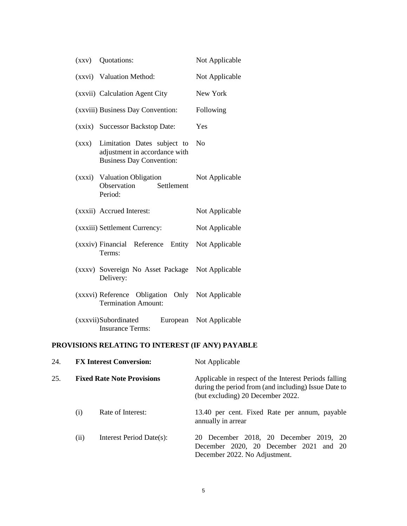| (xxy) | Quotations:                                                                                     | Not Applicable |
|-------|-------------------------------------------------------------------------------------------------|----------------|
|       | (xxvi) Valuation Method:                                                                        | Not Applicable |
|       | (xxvii) Calculation Agent City                                                                  | New York       |
|       | (xxviii) Business Day Convention:                                                               | Following      |
|       | (xxix) Successor Backstop Date:                                                                 | Yes            |
| (XXX) | Limitation Dates subject to<br>adjustment in accordance with<br><b>Business Day Convention:</b> | N <sub>0</sub> |
|       | (xxxi) Valuation Obligation<br>Observation<br>Settlement<br>Period:                             | Not Applicable |
|       | (xxxii) Accrued Interest:                                                                       | Not Applicable |
|       | (xxxiii) Settlement Currency:                                                                   | Not Applicable |
|       | (xxxiv) Financial Reference Entity<br>Terms:                                                    | Not Applicable |
|       | (xxxv) Sovereign No Asset Package<br>Delivery:                                                  | Not Applicable |
|       | (xxxvi) Reference Obligation Only<br><b>Termination Amount:</b>                                 | Not Applicable |
|       | (xxxvii)Subordinated<br>European<br><b>Insurance Terms:</b>                                     | Not Applicable |

# **PROVISIONS RELATING TO INTEREST (IF ANY) PAYABLE**

| 24. |     | <b>FX Interest Conversion:</b>    | Not Applicable                                                                                                                                     |  |  |  |
|-----|-----|-----------------------------------|----------------------------------------------------------------------------------------------------------------------------------------------------|--|--|--|
| 25. |     | <b>Fixed Rate Note Provisions</b> | Applicable in respect of the Interest Periods falling<br>during the period from (and including) Issue Date to<br>(but excluding) 20 December 2022. |  |  |  |
|     | (1) | Rate of Interest:                 | 13.40 per cent. Fixed Rate per annum, payable<br>annually in arrear                                                                                |  |  |  |
|     | (i) | Interest Period Date(s):          | 20 December 2018, 20 December 2019, 20<br>December 2020, 20 December 2021 and 20<br>December 2022. No Adjustment.                                  |  |  |  |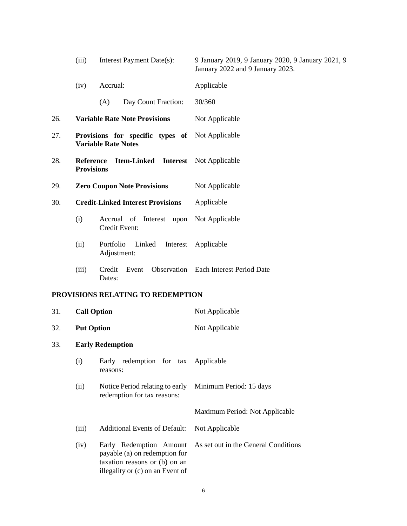|     | (iii)                                 | Interest Payment Date(s):                                                                                                     | 9 January 2019, 9 January 2020, 9 January 2021, 9<br>January 2022 and 9 January 2023. |  |  |  |
|-----|---------------------------------------|-------------------------------------------------------------------------------------------------------------------------------|---------------------------------------------------------------------------------------|--|--|--|
|     | (iv)                                  | Accrual:                                                                                                                      | Applicable                                                                            |  |  |  |
|     |                                       | (A)<br>Day Count Fraction:                                                                                                    | 30/360                                                                                |  |  |  |
| 26. |                                       | <b>Variable Rate Note Provisions</b>                                                                                          | Not Applicable                                                                        |  |  |  |
| 27. |                                       | Provisions for specific types of<br><b>Variable Rate Notes</b>                                                                | Not Applicable                                                                        |  |  |  |
| 28. | <b>Reference</b><br><b>Provisions</b> | <b>Item-Linked</b>                                                                                                            | <b>Interest</b> Not Applicable                                                        |  |  |  |
| 29. |                                       | <b>Zero Coupon Note Provisions</b>                                                                                            | Not Applicable                                                                        |  |  |  |
| 30. |                                       | <b>Credit-Linked Interest Provisions</b>                                                                                      | Applicable                                                                            |  |  |  |
|     | (i)                                   | Interest upon<br>Accrual of<br>Credit Event:                                                                                  | Not Applicable                                                                        |  |  |  |
|     | (ii)                                  | Portfolio<br>Linked<br>Interest<br>Adjustment:                                                                                | Applicable                                                                            |  |  |  |
|     | (iii)                                 | Credit<br>Event<br>Dates:                                                                                                     | <b>Observation</b> Each Interest Period Date                                          |  |  |  |
|     |                                       | PROVISIONS RELATING TO REDEMPTION                                                                                             |                                                                                       |  |  |  |
| 31. | <b>Call Option</b>                    |                                                                                                                               | Not Applicable                                                                        |  |  |  |
| 32. | <b>Put Option</b>                     |                                                                                                                               | Not Applicable                                                                        |  |  |  |
| 33. |                                       | <b>Early Redemption</b>                                                                                                       |                                                                                       |  |  |  |
|     | (i)                                   | Early redemption for tax<br>reasons:                                                                                          | Applicable                                                                            |  |  |  |
|     | (ii)                                  | Notice Period relating to early<br>redemption for tax reasons:                                                                | Minimum Period: 15 days                                                               |  |  |  |
|     |                                       |                                                                                                                               | Maximum Period: Not Applicable                                                        |  |  |  |
|     | (iii)                                 | <b>Additional Events of Default:</b>                                                                                          | Not Applicable                                                                        |  |  |  |
|     | (iv)                                  | Early Redemption Amount<br>payable (a) on redemption for<br>taxation reasons or (b) on an<br>illegality or (c) on an Event of | As set out in the General Conditions                                                  |  |  |  |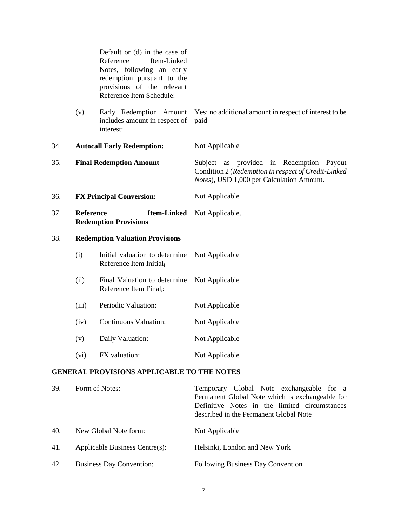Default or (d) in the case of Reference Item-Linked Notes, following an early redemption pursuant to the provisions of the relevant Reference Item Schedule:

- (v) Early Redemption Amount includes amount in respect of interest: Yes: no additional amount in respect of interest to be paid
- 34. **Autocall Early Redemption:** Not Applicable 35. **Final Redemption Amount** Subject as provided in Redemption Payout Condition 2 (*Redemption in respect of Credit-Linked Notes*), USD 1,000 per Calculation Amount.
- <span id="page-6-0"></span>36. **FX Principal Conversion:** Not Applicable
- 37. **Reference Item-Linked**  Not Applicable. **Redemption Provisions**

## 38. **Redemption Valuation Provisions**

| (i) | Initial valuation to determine Not Applicable |  |  |  |
|-----|-----------------------------------------------|--|--|--|
|     | Reference Item Initial                        |  |  |  |

- (ii) Final Valuation to determine Not Applicable Reference Item Finali:
- (iii) Periodic Valuation: Not Applicable
- (iv) Continuous Valuation: Not Applicable
- (v) Daily Valuation: Not Applicable
- (vi) FX valuation: Not Applicable

## **GENERAL PROVISIONS APPLICABLE TO THE NOTES**

| 39. | Form of Notes:                  | Temporary Global Note exchangeable for a<br>Permanent Global Note which is exchangeable for<br>Definitive Notes in the limited circumstances<br>described in the Permanent Global Note |
|-----|---------------------------------|----------------------------------------------------------------------------------------------------------------------------------------------------------------------------------------|
| 40. | New Global Note form:           | Not Applicable                                                                                                                                                                         |
| 41. | Applicable Business Centre(s):  | Helsinki, London and New York                                                                                                                                                          |
| 42. | <b>Business Day Convention:</b> | <b>Following Business Day Convention</b>                                                                                                                                               |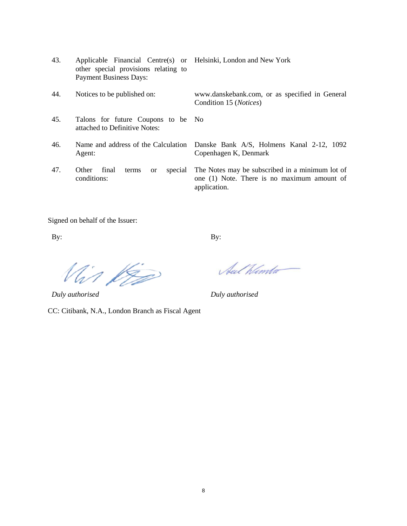- 43. Applicable Financial Centre(s) or Helsinki, London and New York other special provisions relating to Payment Business Days:
- 44. Notices to be published on: www.danskebank.com, or as specified in General Condition 15 (*Notices*)
- 45. Talons for future Coupons to be attached to Definitive Notes: No
- 46. Name and address of the Calculation Agent:
- 47. Other final terms or special conditions:

Danske Bank A/S, Holmens Kanal 2-12, 1092 Copenhagen K, Denmark

The Notes may be subscribed in a minimum lot of one (1) Note. There is no maximum amount of application.

Signed on behalf of the Issuer:

By: By:

Vin 150

CC: Citibank, N.A., London Branch as Fiscal Agent

Sul Winter

*Duly authorised Duly authorised*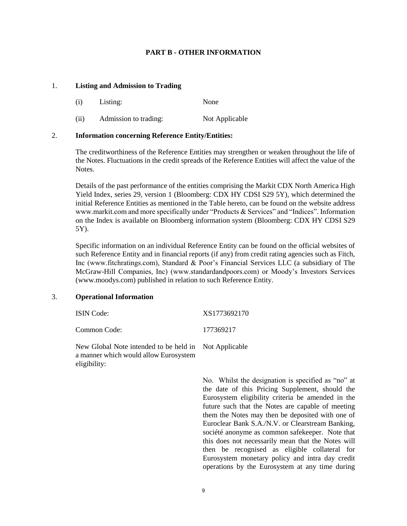## **PART B - OTHER INFORMATION**

#### 1. **Listing and Admission to Trading**

- (i) Listing: None
- (ii) Admission to trading: Not Applicable

## 2. **Information concerning Reference Entity/Entities:**

The creditworthiness of the Reference Entities may strengthen or weaken throughout the life of the Notes. Fluctuations in the credit spreads of the Reference Entities will affect the value of the Notes.

Details of the past performance of the entities comprising the Markit CDX North America High Yield Index, series 29, version 1 (Bloomberg: CDX HY CDSI S29 5Y), which determined the initial Reference Entities as mentioned in the Table hereto, can be found on the website address www.markit.com and more specifically under "Products & Services" and "Indices". Information on the Index is available on Bloomberg information system (Bloomberg: CDX HY CDSI S29 5Y).

Specific information on an individual Reference Entity can be found on the official websites of such Reference Entity and in financial reports (if any) from credit rating agencies such as Fitch, Inc (www.fitchratings.com), Standard & Poor's Financial Services LLC (a subsidiary of The McGraw-Hill Companies, Inc) (www.standardandpoors.com) or Moody's Investors Services (www.moodys.com) published in relation to such Reference Entity.

#### 3. **Operational Information**

eligibility:

| <b>ISIN</b> Code:                                                                              | XS1773692170 |
|------------------------------------------------------------------------------------------------|--------------|
| Common Code:                                                                                   | 177369217    |
| New Global Note intended to be held in Not Applicable<br>a manner which would allow Eurosystem |              |

No. Whilst the designation is specified as "no" at the date of this Pricing Supplement, should the Eurosystem eligibility criteria be amended in the future such that the Notes are capable of meeting them the Notes may then be deposited with one of Euroclear Bank S.A./N.V. or Clearstream Banking, société anonyme as common safekeeper. Note that this does not necessarily mean that the Notes will then be recognised as eligible collateral for Eurosystem monetary policy and intra day credit operations by the Eurosystem at any time during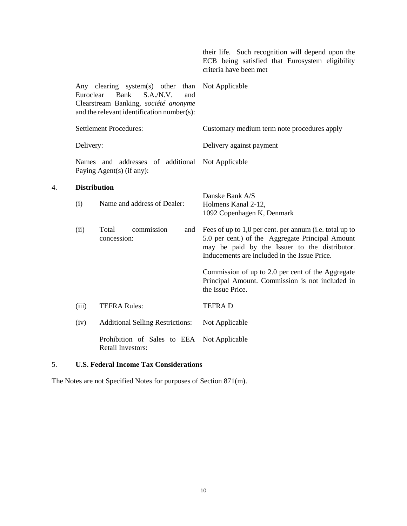|                                    |                                                                                                                                                              | their life. Such recognition will depend upon the<br>ECB being satisfied that Eurosystem eligibility<br>criteria have been met                                                                                                                                                                                                                                                               |  |  |
|------------------------------------|--------------------------------------------------------------------------------------------------------------------------------------------------------------|----------------------------------------------------------------------------------------------------------------------------------------------------------------------------------------------------------------------------------------------------------------------------------------------------------------------------------------------------------------------------------------------|--|--|
| Euroclear                          | Any clearing system(s) other<br>than<br><b>Bank</b><br>S.A.N.V.<br>and<br>Clearstream Banking, société anonyme<br>and the relevant identification number(s): | Not Applicable                                                                                                                                                                                                                                                                                                                                                                               |  |  |
|                                    | <b>Settlement Procedures:</b>                                                                                                                                | Customary medium term note procedures apply                                                                                                                                                                                                                                                                                                                                                  |  |  |
| Delivery:                          |                                                                                                                                                              | Delivery against payment                                                                                                                                                                                                                                                                                                                                                                     |  |  |
|                                    | Names and addresses of additional<br>Paying Agent(s) (if any):                                                                                               | Not Applicable                                                                                                                                                                                                                                                                                                                                                                               |  |  |
| <b>Distribution</b><br>(i)<br>(ii) | Name and address of Dealer:<br>commission<br>Total<br>and<br>concession:                                                                                     | Danske Bank A/S<br>Holmens Kanal 2-12,<br>1092 Copenhagen K, Denmark<br>Fees of up to 1,0 per cent. per annum (i.e. total up to<br>5.0 per cent.) of the Aggregate Principal Amount<br>may be paid by the Issuer to the distributor.<br>Inducements are included in the Issue Price.<br>Commission of up to 2.0 per cent of the Aggregate<br>Principal Amount. Commission is not included in |  |  |
|                                    |                                                                                                                                                              | the Issue Price.                                                                                                                                                                                                                                                                                                                                                                             |  |  |
| (iii)                              | <b>TEFRA Rules:</b>                                                                                                                                          | <b>TEFRAD</b>                                                                                                                                                                                                                                                                                                                                                                                |  |  |
| (iv)                               | <b>Additional Selling Restrictions:</b>                                                                                                                      | Not Applicable                                                                                                                                                                                                                                                                                                                                                                               |  |  |
|                                    | Prohibition of Sales to EEA<br><b>Retail Investors:</b>                                                                                                      | Not Applicable                                                                                                                                                                                                                                                                                                                                                                               |  |  |

## 5. **U.S. Federal Income Tax Considerations**

4. **Distribution**

The Notes are not Specified Notes for purposes of Section 871(m).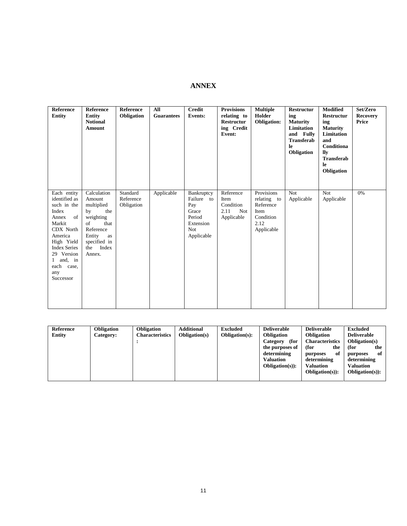# **ANNEX**

| Reference<br><b>Entity</b>                                                                                                                                                                              | <b>Reference</b><br><b>Entity</b><br><b>Notional</b><br><b>Amount</b>                                                                              | Reference<br>Obligation             | All<br><b>Guarantees</b> | <b>Credit</b><br><b>Events:</b>                                                             | <b>Provisions</b><br>relating to<br><b>Restructur</b><br>ing Credit<br>Event: | <b>Multiple</b><br>Holder<br><b>Obligation:</b>                                   | Restructur<br>ing<br><b>Maturity</b><br>Limitation<br>and Fully<br><b>Transferab</b><br>le<br>Obligation | <b>Modified</b><br>Restructur<br>ing<br><b>Maturity</b><br>Limitation<br>and<br>Conditiona<br>llv<br><b>Transferab</b><br>le<br>Obligation | Set/Zero<br><b>Recovery</b><br>Price |
|---------------------------------------------------------------------------------------------------------------------------------------------------------------------------------------------------------|----------------------------------------------------------------------------------------------------------------------------------------------------|-------------------------------------|--------------------------|---------------------------------------------------------------------------------------------|-------------------------------------------------------------------------------|-----------------------------------------------------------------------------------|----------------------------------------------------------------------------------------------------------|--------------------------------------------------------------------------------------------------------------------------------------------|--------------------------------------|
| Each entity<br>identified as<br>such in the<br>Index<br>of<br>Annex<br>Markit<br>CDX North<br>America<br>High Yield<br><b>Index Series</b><br>29 Version<br>1 and, in<br>each case,<br>any<br>Successor | Calculation<br>Amount<br>multiplied<br>by<br>the<br>weighting<br>that<br>of<br>Reference<br>Entity<br>as<br>specified in<br>Index<br>the<br>Annex. | Standard<br>Reference<br>Obligation | Applicable               | Bankruptcy<br>Failure to<br>Pay<br>Grace<br>Period<br>Extension<br><b>Not</b><br>Applicable | Reference<br>Item<br>Condition<br>2.11<br><b>Not</b><br>Applicable            | Provisions<br>relating to<br>Reference<br>Item<br>Condition<br>2.12<br>Applicable | Not<br>Applicable                                                                                        | <b>Not</b><br>Applicable                                                                                                                   | 0%                                   |

| <b>Reference</b> | <b>Obligation</b> | Obligation             | <b>Additional</b>     | <b>Excluded</b>       | <b>Deliverable</b> | <b>Deliverable</b>     | <b>Excluded</b>       |
|------------------|-------------------|------------------------|-----------------------|-----------------------|--------------------|------------------------|-----------------------|
| Entity           | <b>Category:</b>  | <b>Characteristics</b> | <b>Obligation</b> (s) | <b>Obligation(s):</b> | <b>Obligation</b>  | <b>Obligation</b>      | <b>Deliverable</b>    |
|                  |                   |                        |                       |                       | (for<br>Category   | <b>Characteristics</b> | <b>Obligation(s)</b>  |
|                  |                   |                        |                       |                       | the purposes of    | (for<br>the            | (for<br>the           |
|                  |                   |                        |                       |                       | determining        | of<br>purposes         | of<br>purposes        |
|                  |                   |                        |                       |                       | <b>Valuation</b>   | determining            | determining           |
|                  |                   |                        |                       |                       | $Obligation(s):$   | <b>Valuation</b>       | Valuation             |
|                  |                   |                        |                       |                       |                    | $Obligation(s)$ :      | <b>Obligation(s):</b> |
|                  |                   |                        |                       |                       |                    |                        |                       |